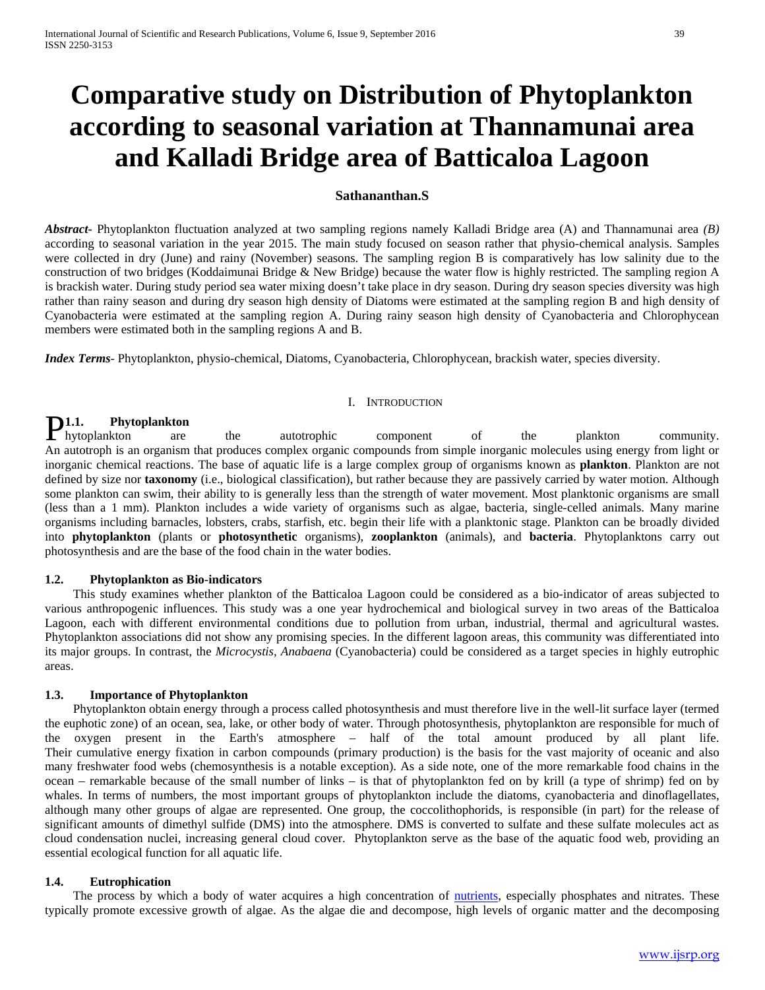# **Comparative study on Distribution of Phytoplankton according to seasonal variation at Thannamunai area and Kalladi Bridge area of Batticaloa Lagoon**

# **Sathananthan.S**

*Abstract***-** Phytoplankton fluctuation analyzed at two sampling regions namely Kalladi Bridge area (A) and Thannamunai area *(B)* according to seasonal variation in the year 2015. The main study focused on season rather that physio-chemical analysis. Samples were collected in dry (June) and rainy (November) seasons. The sampling region B is comparatively has low salinity due to the construction of two bridges (Koddaimunai Bridge & New Bridge) because the water flow is highly restricted. The sampling region A is brackish water. During study period sea water mixing doesn't take place in dry season. During dry season species diversity was high rather than rainy season and during dry season high density of Diatoms were estimated at the sampling region B and high density of Cyanobacteria were estimated at the sampling region A. During rainy season high density of Cyanobacteria and Chlorophycean members were estimated both in the sampling regions A and B.

*Index Terms*- Phytoplankton, physio-chemical, Diatoms, Cyanobacteria, Chlorophycean, brackish water, species diversity.

### I. INTRODUCTION

# **1.1. Phytoplankton**

**P1.1.** Phytoplankton are the autotrophic component of the plankton community. An autotroph is an organism that produces complex organic compounds from simple inorganic molecules using energy from light or inorganic chemical reactions. The base of aquatic life is a large complex group of organisms known as **plankton**. Plankton are not defined by size nor **taxonomy** (i.e., biological classification), but rather because they are passively carried by water motion. Although some plankton can swim, their ability to is generally less than the strength of water movement. Most planktonic organisms are small (less than a 1 mm). Plankton includes a wide variety of organisms such as algae, bacteria, single-celled animals. Many marine organisms including barnacles, lobsters, crabs, starfish, etc. begin their life with a planktonic stage. Plankton can be broadly divided into **phytoplankton** (plants or **photosynthetic** organisms), **zooplankton** (animals), and **bacteria**. Phytoplanktons carry out photosynthesis and are the base of the food chain in the water bodies.

### **1.2. Phytoplankton as Bio-indicators**

 This study examines whether plankton of the Batticaloa Lagoon could be considered as a bio-indicator of areas subjected to various anthropogenic influences. This study was a one year hydrochemical and biological survey in two areas of the Batticaloa Lagoon, each with different environmental conditions due to pollution from urban, industrial, thermal and agricultural wastes. Phytoplankton associations did not show any promising species. In the different lagoon areas, this community was differentiated into its major groups. In contrast, the *Microcystis, Anabaena* (Cyanobacteria) could be considered as a target species in highly eutrophic areas.

### **1.3. Importance of Phytoplankton**

 Phytoplankton obtain energy through a process called photosynthesis and must therefore live in the well-lit surface layer (termed the euphotic zone) of an ocean, sea, lake, or other body of water. Through photosynthesis, phytoplankton are responsible for much of the oxygen present in the Earth's atmosphere – half of the total amount produced by all plant life. Their cumulative energy fixation in carbon compounds (primary production) is the basis for the vast majority of oceanic and also many freshwater food webs (chemosynthesis is a notable exception). As a side note, one of the more remarkable food chains in the ocean – remarkable because of the small number of links – is that of phytoplankton fed on by krill (a type of shrimp) fed on by whales. In terms of numbers, the most important groups of phytoplankton include the diatoms, cyanobacteria and dinoflagellates, although many other groups of algae are represented. One group, the coccolithophorids, is responsible (in part) for the release of significant amounts of dimethyl sulfide (DMS) into the atmosphere. DMS is converted to sulfate and these sulfate molecules act as cloud condensation nuclei, increasing general cloud cover. Phytoplankton serve as the base of the aquatic food web, providing an essential ecological function for all aquatic life.

### **1.4. Eutrophication**

The process by which a body of water acquires a high concentration of [nutrients,](http://toxics.usgs.gov/definitions/nutrients.html) especially phosphates and nitrates. These typically promote excessive growth of algae. As the algae die and decompose, high levels of organic matter and the decomposing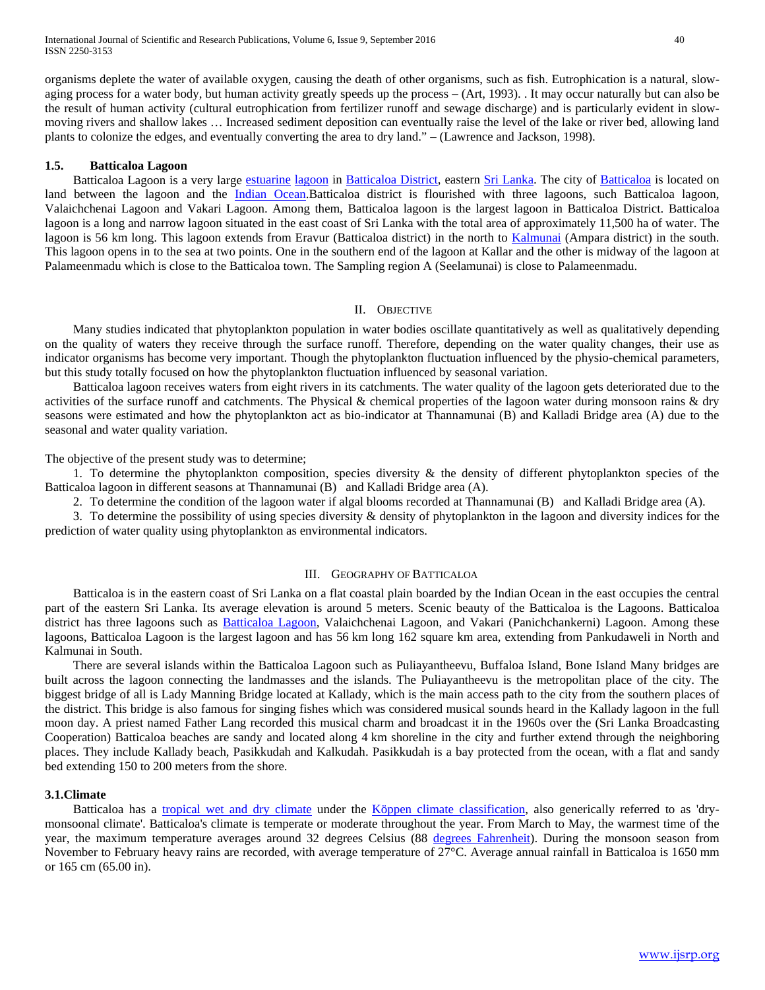organisms deplete the water of available oxygen, causing the death of other organisms, such as fish. Eutrophication is a natural, slowaging process for a water body, but human activity greatly speeds up the process – (Art, 1993). . It may occur naturally but can also be the result of human activity (cultural eutrophication from fertilizer runoff and sewage discharge) and is particularly evident in slowmoving rivers and shallow lakes … Increased sediment deposition can eventually raise the level of the lake or river bed, allowing land plants to colonize the edges, and eventually converting the area to dry land." – (Lawrence and Jackson, 1998).

### **1.5. Batticaloa Lagoon**

Batticaloa Lagoon is a very large [estuarine](http://en.wikipedia.org/wiki/Estuarine) [lagoon](http://en.wikipedia.org/wiki/Lagoon) in [Batticaloa District,](http://en.wikipedia.org/wiki/Batticaloa_District) eastern [Sri Lanka.](http://en.wikipedia.org/wiki/Sri_Lanka) The city of [Batticaloa](http://en.wikipedia.org/wiki/Batticaloa) is located on land between the lagoon and the [Indian Ocean.](http://en.wikipedia.org/wiki/Indian_Ocean)Batticaloa district is flourished with three lagoons, such Batticaloa lagoon, Valaichchenai Lagoon and Vakari Lagoon. Among them, Batticaloa lagoon is the largest lagoon in Batticaloa District. Batticaloa lagoon is a long and narrow lagoon situated in the east coast of Sri Lanka with the total area of approximately 11,500 ha of water. The lagoon is 56 km long. This lagoon extends from Eravur (Batticaloa district) in the north to [Kalmunai](http://en.wikipedia.org/wiki/Kalmunai) (Ampara district) in the south. This lagoon opens in to the sea at two points. One in the southern end of the lagoon at Kallar and the other is midway of the lagoon at Palameenmadu which is close to the Batticaloa town. The Sampling region A (Seelamunai) is close to Palameenmadu.

### II. OBJECTIVE

 Many studies indicated that phytoplankton population in water bodies oscillate quantitatively as well as qualitatively depending on the quality of waters they receive through the surface runoff. Therefore, depending on the water quality changes, their use as indicator organisms has become very important. Though the phytoplankton fluctuation influenced by the physio-chemical parameters, but this study totally focused on how the phytoplankton fluctuation influenced by seasonal variation.

 Batticaloa lagoon receives waters from eight rivers in its catchments. The water quality of the lagoon gets deteriorated due to the activities of the surface runoff and catchments. The Physical & chemical properties of the lagoon water during monsoon rains & dry seasons were estimated and how the phytoplankton act as bio-indicator at Thannamunai (B) and Kalladi Bridge area (A) due to the seasonal and water quality variation.

The objective of the present study was to determine;

 1. To determine the phytoplankton composition, species diversity & the density of different phytoplankton species of the Batticaloa lagoon in different seasons at Thannamunai (B) and Kalladi Bridge area (A).

2. To determine the condition of the lagoon water if algal blooms recorded at Thannamunai (B) and Kalladi Bridge area (A).

 3. To determine the possibility of using species diversity & density of phytoplankton in the lagoon and diversity indices for the prediction of water quality using phytoplankton as environmental indicators.

# III. GEOGRAPHY OF BATTICALOA

 Batticaloa is in the eastern coast of Sri Lanka on a flat coastal plain boarded by the Indian Ocean in the east occupies the central part of the eastern Sri Lanka. Its average elevation is around 5 meters. Scenic beauty of the Batticaloa is the Lagoons. Batticaloa district has three lagoons such as [Batticaloa Lagoon,](http://en.wikipedia.org/wiki/Batticaloa_Lagoon) Valaichchenai Lagoon, and Vakari (Panichchankerni) Lagoon. Among these lagoons, Batticaloa Lagoon is the largest lagoon and has 56 km long 162 square km area, extending from Pankudaweli in North and Kalmunai in South.

 There are several islands within the Batticaloa Lagoon such as Puliayantheevu, Buffaloa Island, Bone Island Many bridges are built across the lagoon connecting the landmasses and the islands. The Puliayantheevu is the metropolitan place of the city. The biggest bridge of all is Lady Manning Bridge located at Kallady, which is the main access path to the city from the southern places of the district. This bridge is also famous for singing fishes which was considered musical sounds heard in the Kallady lagoon in the full moon day. A priest named Father Lang recorded this musical charm and broadcast it in the 1960s over the (Sri Lanka Broadcasting Cooperation) Batticaloa beaches are sandy and located along 4 km shoreline in the city and further extend through the neighboring places. They include Kallady beach, Pasikkudah and Kalkudah. Pasikkudah is a bay protected from the ocean, with a flat and sandy bed extending 150 to 200 meters from the shore.

### **3.1.Climate**

Batticaloa has a [tropical wet and dry climate](http://en.wikipedia.org/wiki/Tropical_wet_and_dry_climate) under the [Köppen climate classification,](http://en.wikipedia.org/wiki/K%C3%B6ppen_climate_classification) also generically referred to as 'drymonsoonal climate'. Batticaloa's climate is temperate or moderate throughout the year. From March to May, the warmest time of the year, the maximum temperature averages around 32 degrees Celsius (88 [degrees Fahrenheit\)](http://en.wikipedia.org/wiki/Fahrenheit). During the monsoon season from November to February heavy rains are recorded, with average temperature of 27°C. Average annual rainfall in Batticaloa is 1650 mm or 165 cm (65.00 in).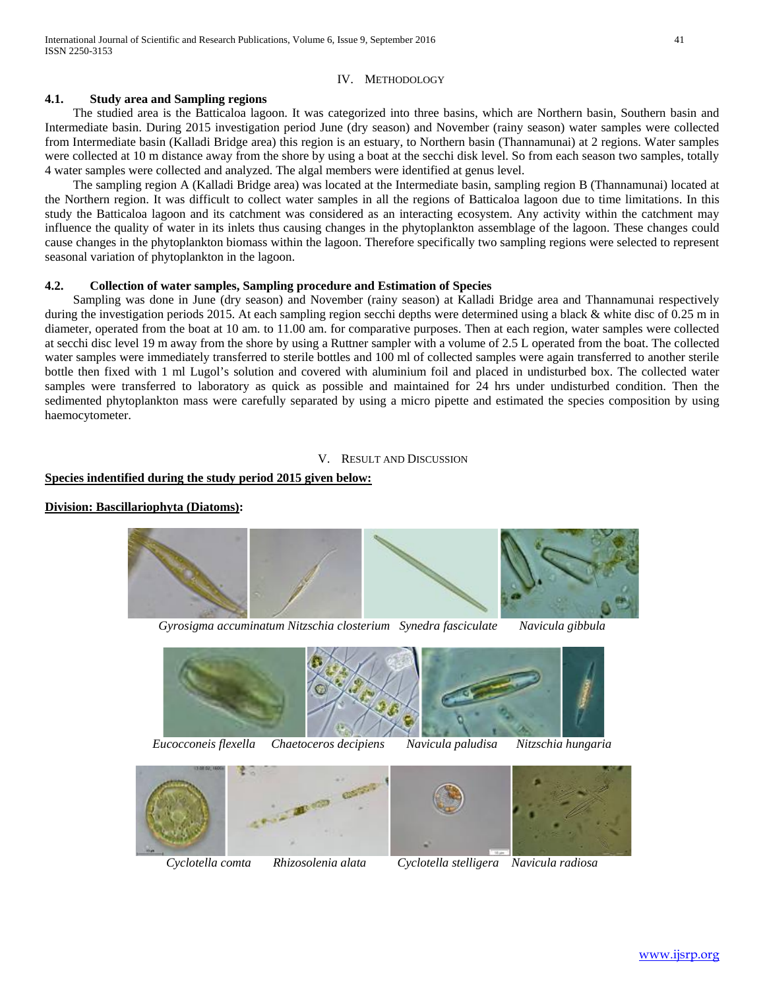# IV. METHODOLOGY

# **4.1. Study area and Sampling regions**

 The studied area is the Batticaloa lagoon. It was categorized into three basins, which are Northern basin, Southern basin and Intermediate basin. During 2015 investigation period June (dry season) and November (rainy season) water samples were collected from Intermediate basin (Kalladi Bridge area) this region is an estuary, to Northern basin (Thannamunai) at 2 regions. Water samples were collected at 10 m distance away from the shore by using a boat at the secchi disk level. So from each season two samples, totally 4 water samples were collected and analyzed. The algal members were identified at genus level.

 The sampling region A (Kalladi Bridge area) was located at the Intermediate basin, sampling region B (Thannamunai) located at the Northern region. It was difficult to collect water samples in all the regions of Batticaloa lagoon due to time limitations. In this study the Batticaloa lagoon and its catchment was considered as an interacting ecosystem. Any activity within the catchment may influence the quality of water in its inlets thus causing changes in the phytoplankton assemblage of the lagoon. These changes could cause changes in the phytoplankton biomass within the lagoon. Therefore specifically two sampling regions were selected to represent seasonal variation of phytoplankton in the lagoon.

# **4.2. Collection of water samples, Sampling procedure and Estimation of Species**

 Sampling was done in June (dry season) and November (rainy season) at Kalladi Bridge area and Thannamunai respectively during the investigation periods 2015. At each sampling region secchi depths were determined using a black & white disc of 0.25 m in diameter, operated from the boat at 10 am. to 11.00 am. for comparative purposes. Then at each region, water samples were collected at secchi disc level 19 m away from the shore by using a Ruttner sampler with a volume of 2.5 L operated from the boat. The collected water samples were immediately transferred to sterile bottles and 100 ml of collected samples were again transferred to another sterile bottle then fixed with 1 ml Lugol's solution and covered with aluminium foil and placed in undisturbed box. The collected water samples were transferred to laboratory as quick as possible and maintained for 24 hrs under undisturbed condition. Then the sedimented phytoplankton mass were carefully separated by using a micro pipette and estimated the species composition by using haemocytometer.

### V. RESULT AND DISCUSSION

# **Species indentified during the study period 2015 given below:**

# **Division: Bascillariophyta (Diatoms):**



*Gyrosigma accuminatum Nitzschia closterium Synedra fasciculate Navicula gibbula*







*Cyclotella comta Rhizosolenia alata Cyclotella stelligera Navicula radiosa*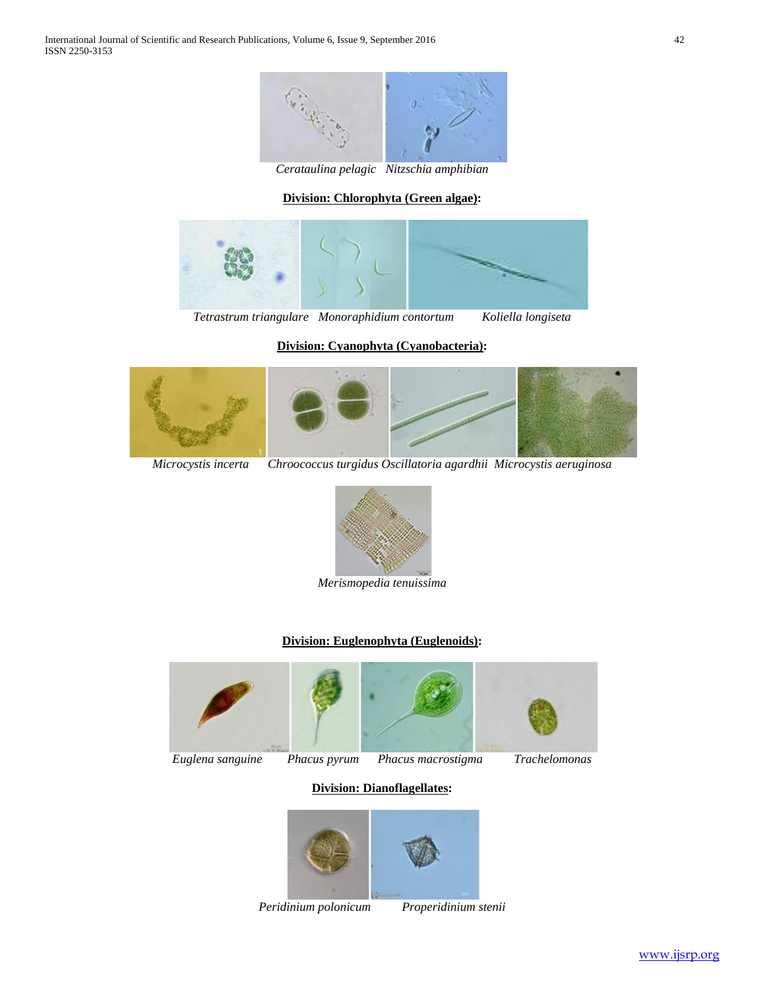

*Cerataulina pelagic Nitzschia amphibian*

# **Division: Chlorophyta (Green algae):**



*Tetrastrum triangulare**Monoraphidium contortum**Koliella longiseta*

# **Division: Cyanophyta (Cyanobacteria):**







*Merismopedia tenuissima*

# **Division: Euglenophyta (Euglenoids):**





# **Division: Dianoflagellates:**



*Peridinium polonicum Properidinium stenii*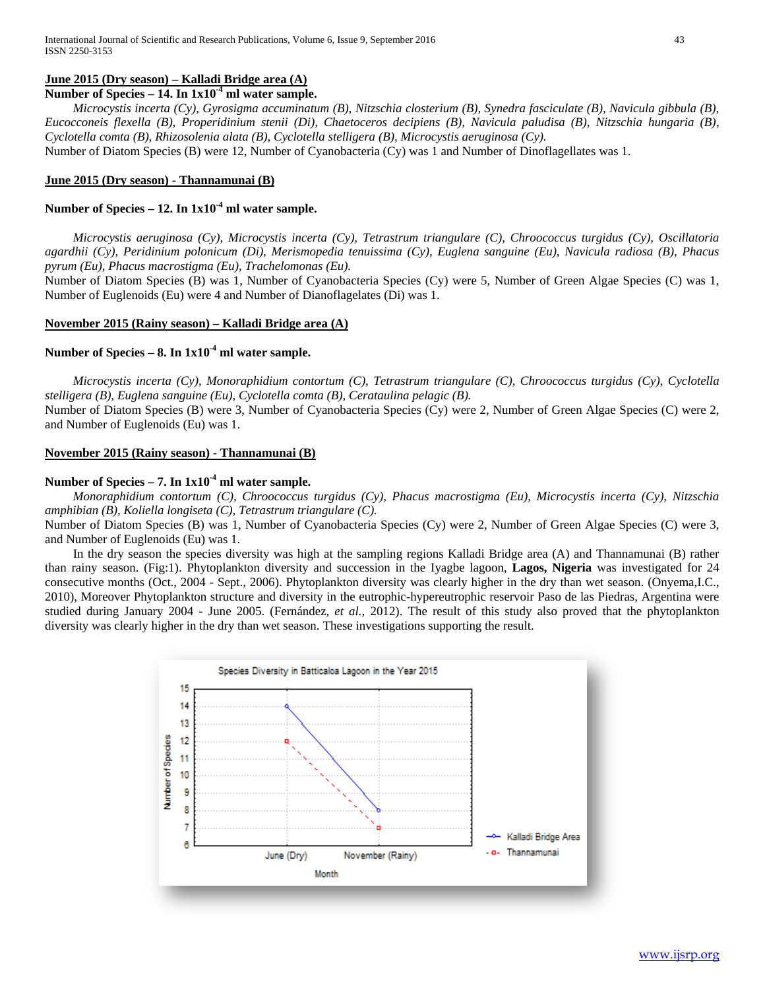# **June 2015 (Dry season) – Kalladi Bridge area (A)**

**Number of Species – 14. In 1x10-4 ml water sample.**

 *Microcystis incerta (Cy), Gyrosigma accuminatum (B), Nitzschia closterium (B), Synedra fasciculate (B), Navicula gibbula (B), Eucocconeis flexella (B), Properidinium stenii (Di), Chaetoceros decipiens (B), Navicula paludisa (B), Nitzschia hungaria (B), Cyclotella comta (B), Rhizosolenia alata (B), Cyclotella stelligera (B), Microcystis aeruginosa (Cy).* 

Number of Diatom Species (B) were 12, Number of Cyanobacteria (Cy) was 1 and Number of Dinoflagellates was 1.

### **June 2015 (Dry season) - Thannamunai (B)**

# **Number of Species – 12. In 1x10-4 ml water sample.**

 *Microcystis aeruginosa (Cy), Microcystis incerta (Cy), Tetrastrum triangulare (C), Chroococcus turgidus (Cy), Oscillatoria agardhii (Cy), Peridinium polonicum (Di), Merismopedia tenuissima (Cy), Euglena sanguine (Eu), Navicula radiosa (B), Phacus pyrum (Eu), Phacus macrostigma (Eu), Trachelomonas (Eu).* 

Number of Diatom Species (B) was 1, Number of Cyanobacteria Species (Cy) were 5, Number of Green Algae Species (C) was 1, Number of Euglenoids (Eu) were 4 and Number of Dianoflagelates (Di) was 1.

# **November 2015 (Rainy season) – Kalladi Bridge area (A)**

# **Number of Species – 8. In 1x10-4 ml water sample.**

 *Microcystis incerta (Cy), Monoraphidium contortum (C), Tetrastrum triangulare (C), Chroococcus turgidus (Cy), Cyclotella stelligera (B), Euglena sanguine (Eu), Cyclotella comta (B), Cerataulina pelagic (B).*  Number of Diatom Species (B) were 3, Number of Cyanobacteria Species (Cy) were 2, Number of Green Algae Species (C) were 2,

and Number of Euglenoids (Eu) was 1.

# **November 2015 (Rainy season) - Thannamunai (B)**

# **Number of Species – 7. In 1x10-4 ml water sample.**

 *Monoraphidium contortum (C), Chroococcus turgidus (Cy), Phacus macrostigma (Eu), Microcystis incerta (Cy), Nitzschia amphibian (B), Koliella longiseta (C), Tetrastrum triangulare (C).* 

Number of Diatom Species (B) was 1, Number of Cyanobacteria Species (Cy) were 2, Number of Green Algae Species (C) were 3, and Number of Euglenoids (Eu) was 1.

 In the dry season the species diversity was high at the sampling regions Kalladi Bridge area (A) and Thannamunai (B) rather than rainy season. (Fig:1). Phytoplankton diversity and succession in the Iyagbe lagoon, **Lagos, Nigeria** was investigated for 24 consecutive months (Oct., 2004 - Sept., 2006). Phytoplankton diversity was clearly higher in the dry than wet season. (Onyema,I.C., 2010), Moreover Phytoplankton structure and diversity in the eutrophic-hypereutrophic reservoir Paso de las Piedras, Argentina were studied during January 2004 - June 2005. (Fernández, *et al.,* 2012). The result of this study also proved that the phytoplankton diversity was clearly higher in the dry than wet season. These investigations supporting the result.

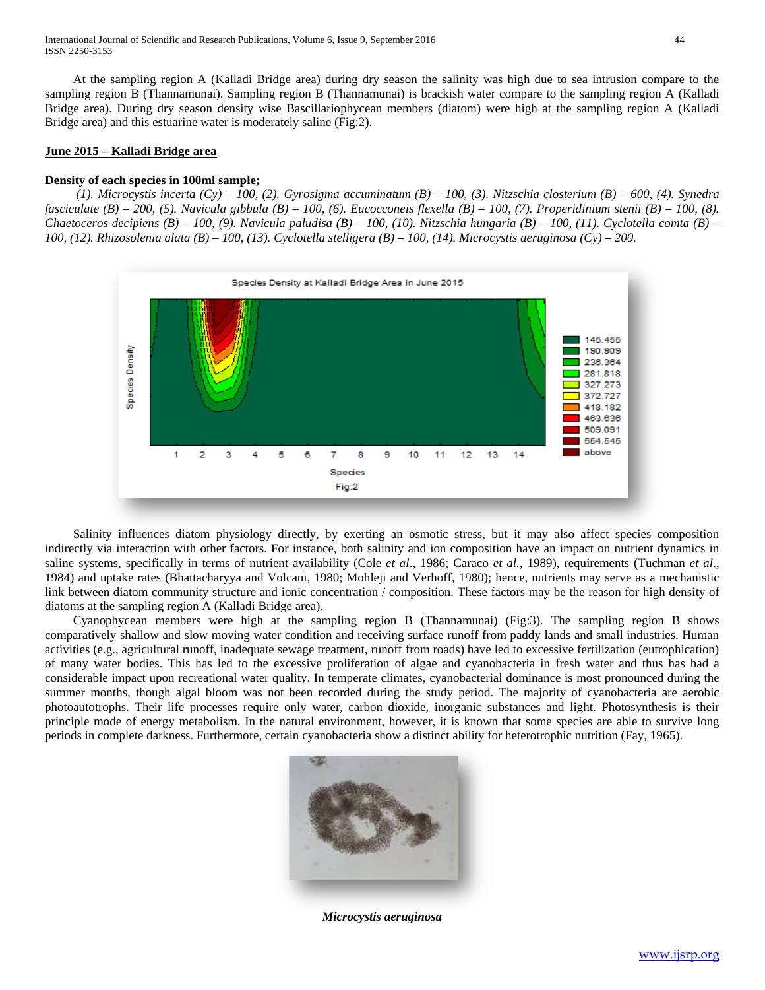At the sampling region A (Kalladi Bridge area) during dry season the salinity was high due to sea intrusion compare to the sampling region B (Thannamunai). Sampling region B (Thannamunai) is brackish water compare to the sampling region A (Kalladi Bridge area). During dry season density wise Bascillariophycean members (diatom) were high at the sampling region A (Kalladi Bridge area) and this estuarine water is moderately saline (Fig:2).

# **June 2015 – Kalladi Bridge area**

# **Density of each species in 100ml sample;**

 *(1). Microcystis incerta (Cy) – 100, (2). Gyrosigma accuminatum (B) – 100, (3). Nitzschia closterium (B) – 600, (4). Synedra fasciculate (B) – 200, (5). Navicula gibbula (B) – 100, (6). Eucocconeis flexella (B) – 100, (7). Properidinium stenii (B) – 100, (8). Chaetoceros decipiens (B) – 100, (9). Navicula paludisa (B) – 100, (10). Nitzschia hungaria (B) – 100, (11). Cyclotella comta (B) – 100, (12). Rhizosolenia alata (B) – 100, (13). Cyclotella stelligera (B) – 100, (14). Microcystis aeruginosa (Cy) – 200.*



 Salinity influences diatom physiology directly, by exerting an osmotic stress, but it may also affect species composition indirectly via interaction with other factors. For instance, both salinity and ion composition have an impact on nutrient dynamics in saline systems, specifically in terms of nutrient availability (Cole *et al*., 1986; Caraco *et al.*, 1989), requirements (Tuchman *et al*., 1984) and uptake rates (Bhattacharyya and Volcani, 1980; Mohleji and Verhoff, 1980); hence, nutrients may serve as a mechanistic link between diatom community structure and ionic concentration / composition. These factors may be the reason for high density of diatoms at the sampling region A (Kalladi Bridge area).

 Cyanophycean members were high at the sampling region B (Thannamunai) (Fig:3). The sampling region B shows comparatively shallow and slow moving water condition and receiving surface runoff from paddy lands and small industries. Human activities (e.g., agricultural runoff, inadequate sewage treatment, runoff from roads) have led to excessive fertilization (eutrophication) of many water bodies. This has led to the excessive proliferation of algae and cyanobacteria in fresh water and thus has had a considerable impact upon recreational water quality. In temperate climates, cyanobacterial dominance is most pronounced during the summer months, though algal bloom was not been recorded during the study period. The majority of cyanobacteria are aerobic photoautotrophs. Their life processes require only water, carbon dioxide, inorganic substances and light. Photosynthesis is their principle mode of energy metabolism. In the natural environment, however, it is known that some species are able to survive long periods in complete darkness. Furthermore, [certain cyanobacteria show a distinct ability fo](http://www.google.lk/url?url=http://botany.natur.cuni.cz/algo/determin.html&rct=j&frm=1&q=&esrc=s&sa=U&ei=GG2vU_GHPI-yuATysoL4Ag&ved=0CDoQ9QEwEw&usg=AFQjCNEL7j9fBkIQhuAcKPB4geRXl8t39A)r heterotrophic nutrition (Fay, 1965).



*Microcystis aeruginosa*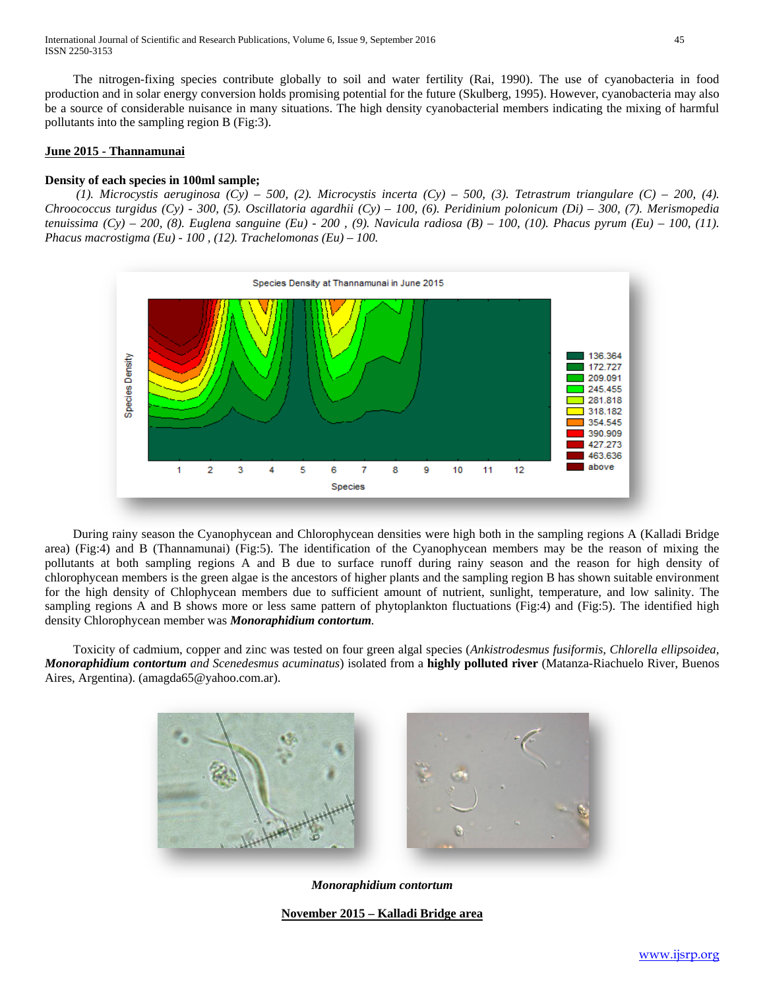International Journal of Scientific and Research Publications, Volume 6, Issue 9, September 2016 45 ISSN 2250-3153

 The nitrogen-fixing species contribute globally to soil and water fertility (Rai, 1990). The use of cyanobacteria in food production and in solar energy conversion holds promising potential for the future (Skulberg, 1995). However, cyanobacteria may also be a source of considerable nuisance in many situations. The high density cyanobacterial members indicating the mixing of harmful pollutants into the sampling region B (Fig:3).

# **June 2015 - Thannamunai**

### **Density of each species in 100ml sample;**

 *(1). Microcystis aeruginosa (Cy) – 500, (2). Microcystis incerta (Cy) – 500, (3). Tetrastrum triangulare (C) – 200, (4). Chroococcus turgidus (Cy) - 300, (5). Oscillatoria agardhii (Cy) – 100, (6). Peridinium polonicum (Di) – 300, (7). Merismopedia tenuissima (Cy) – 200, (8). Euglena sanguine (Eu) - 200 , (9). Navicula radiosa (B) – 100, (10). Phacus pyrum (Eu) – 100, (11). Phacus macrostigma (Eu) - 100 , (12). Trachelomonas (Eu) – 100.*



 During rainy season the Cyanophycean and Chlorophycean densities were high both in the sampling regions A (Kalladi Bridge area) (Fig:4) and B (Thannamunai) (Fig:5). The identification of the Cyanophycean members may be the reason of mixing the pollutants at both sampling regions A and B due to surface runoff during rainy season and the reason for high density of chlorophycean members is the green algae is the ancestors of higher plants and the sampling region B has shown suitable environment for the high density of Chlophycean members due to sufficient amount of nutrient, sunlight, temperature, and low salinity. The sampling regions A and B shows more or less same pattern of phytoplankton fluctuations (Fig:4) and (Fig:5). The identified high density Chlorophycean member was *Monoraphidium contortum.*

 Toxicity of cadmium, copper and zinc was tested on four green algal species (*Ankistrodesmus fusiformis, Chlorella ellipsoidea, Monoraphidium contortum and Scenedesmus acuminatus*) isolated from a **highly polluted river** (Matanza-Riachuelo River, Buenos Aires, Argentina). (amagda65@yahoo.com.ar).



*[Monoraphidiu](http://www.planktonforum.eu/fileadmin/phyto/ned/algen/original/monoraphidium_contortum_02.JPG)[m contortum](http://www.planktonforum.eu/fileadmin/phyto/ned/algen/original/Monoraphidium_contortum.jpg)*

**November 2015 – Kalladi Bridge area**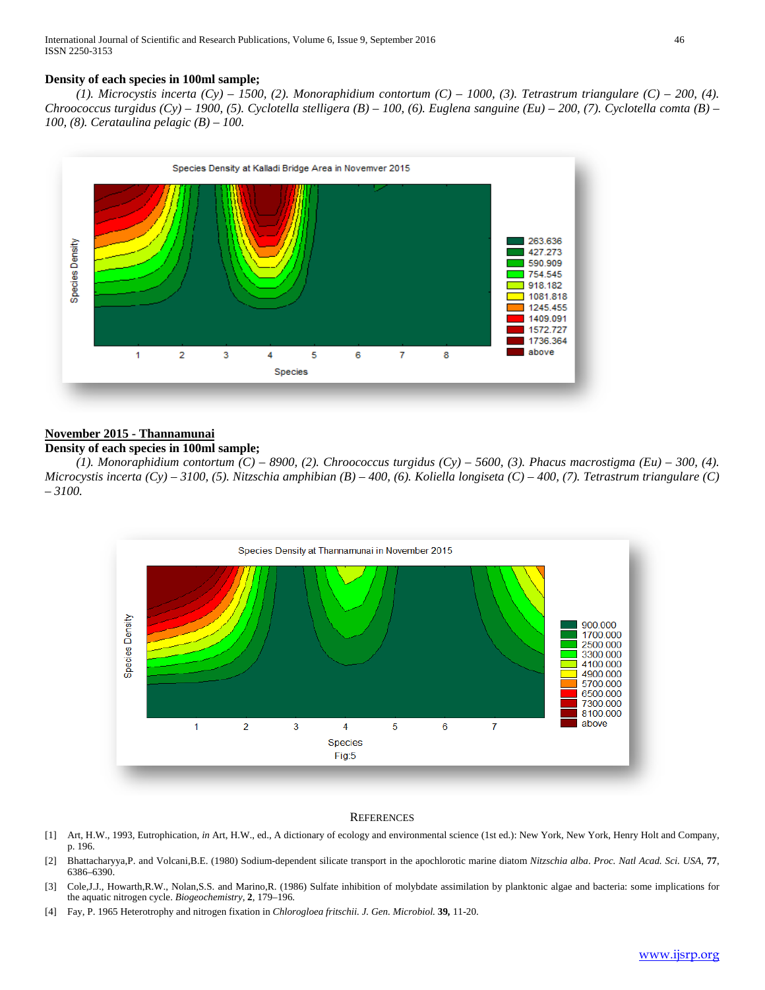# **Density of each species in 100ml sample;**

 *(1). Microcystis incerta (Cy) – 1500, (2). Monoraphidium contortum (C) – 1000, (3). Tetrastrum triangulare (C) – 200, (4). Chroococcus turgidus (Cy) – 1900, (5). Cyclotella stelligera (B) – 100, (6). Euglena sanguine (Eu) – 200, (7). Cyclotella comta (B) – 100, (8). Cerataulina pelagic (B) – 100.*



# **November 2015 - Thannamunai**

# **Density of each species in 100ml sample;**

 *(1). Monoraphidium contortum (C) – 8900, (2). Chroococcus turgidus (Cy) – 5600, (3). Phacus macrostigma (Eu) – 300, (4). Microcystis incerta (Cy) – 3100, (5). Nitzschia amphibian (B) – 400, (6). Koliella longiseta (C) – 400, (7). Tetrastrum triangulare (C) – 3100.*



#### **REFERENCES**

- [1] Art, H.W., 1993, Eutrophication, *in* Art, H.W., ed., A dictionary of ecology and environmental science (1st ed.): New York, New York, Henry Holt and Company, p. 196.
- [2] Bhattacharyya,P. and Volcani,B.E. (1980) Sodium-dependent silicate transport in the apochlorotic marine diatom *Nitzschia alba*. *Proc. Natl Acad. Sci. USA*, **77**, 6386–6390.
- [3] Cole,J.J., Howarth,R.W., Nolan,S.S. and Marino,R. (1986) Sulfate inhibition of molybdate assimilation by planktonic algae and bacteria: some implications for the aquatic nitrogen cycle. *Biogeochemistry*, **2**, 179–196.
- [4] Fay, P. 1965 Heterotrophy and nitrogen fixation in *Chlorogloea fritschii. J. Gen. Microbiol.* **39***,* 11-20.